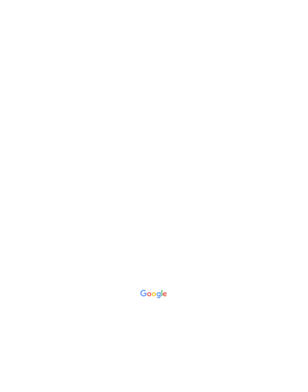# Google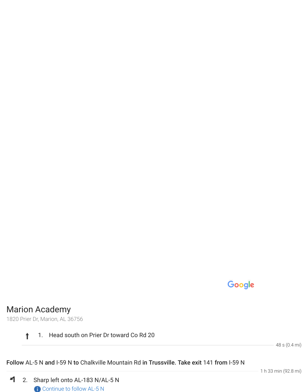## Google

### Marion Academy

1820 Prier Dr, Marion, AL 36756

### 1. Head south on Prier Dr toward Co Rd 20  $\ddagger$

48 s (0.4 mi)

### Follow AL-5 N and I-59 N to Chalkville Mountain Rd in Trussville. Take exit 141 from I-59 N

 $-1 h 33 min (92.8 mi)$ 

2. Sharp left onto AL-183 N/AL-5 N  $\blacktriangleleft$ **Continue to follow AL-5 N**